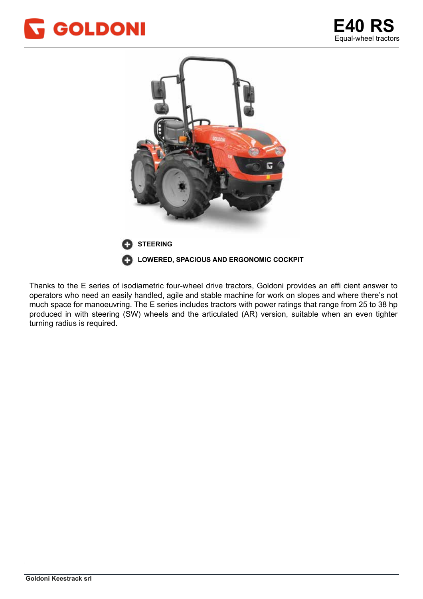



Thanks to the E series of isodiametric four-wheel drive tractors, Goldoni provides an effi cient answer to operators who need an easily handled, agile and stable machine for work on slopes and where there's not much space for manoeuvring. The E series includes tractors with power ratings that range from 25 to 38 hp produced in with steering (SW) wheels and the articulated (AR) version, suitable when an even tighter turning radius is required. The vicino al centro della macchina, consentendo un centro un centro un centro del